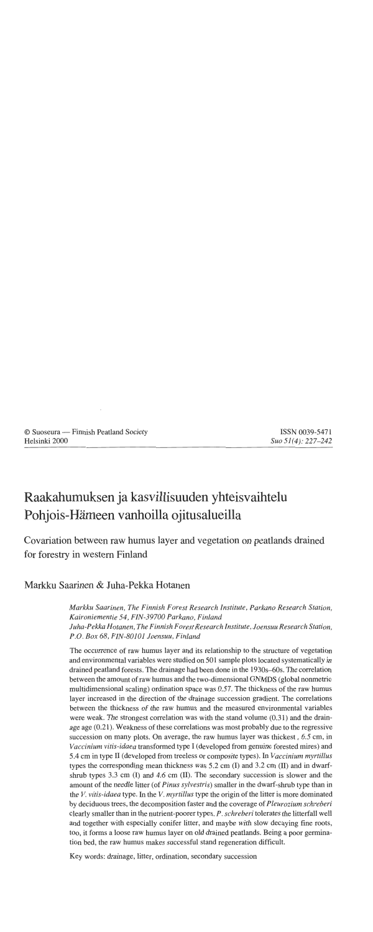# Raakahumuksen ja kasvillisuuden yhteisvaihtelu Pohjois-Hämeen vanhoilla ojitusalueilla

Covariation between raw humus layer and vegetation on peatlands drained for forestry in western Finland

Markku Saarinen & Juha-Pekka Hotanen

*Markku Saarinen, The Finnish Forest Research Institute, Parkano Research Station, Kaironiementie 54, FIN-39700 Parkano, Finland Juha-Pekka Hotanen, The Finnish Forest Research Institute, Joensuu Research Station, P.O. Box 68, FIN-80101 Joensuu, Finland* 

The occurrence of raw humus layer and its relationship to the structure of vegetation and environmental variables were studied on 501 sample plots located systematically in drained peatland forests. The drainage had been done in the 1930s-60s. The correlation between the amount of raw humus and the two-dimensional GNMDS (global nonmetric multidimensional scaling) ordination space was 0.57. The thickness of the raw humus layer increased in the direction of the drainage succession gradient. The correlations between the thickness of the raw humus and the measured environmental variables were weak. The strongest correlation was with the stand volume (0.31) and the drainage age (0.2 1). Weakness of these correlations was most probably due to the regressive succession on many plots. On average, the raw humus layer was thickest, 6.5 cm, in *Vaccinium vitis-idaea* transformed type I (developed from genuine forested mires) and 5.4 cm in type **II** (developed from treeless or composite types). In *Vaccinium myrtillus*  types the corresponding mean thickness was 5.2 cm (I) and 3.2 cm (11) and in dwarfshrub types 3.3 cm (I) and 4.6 cm (11). The secondary succession is slower and the amount of the needle litter (of *Pinus sylvestris)* smaller in the dwarf-shrub type than in the V. *vitis-idaea* type. In the V. *myrtillus* type the origin of the litter is more dominated by deciduous trees, the decomposition faster and the coverage of *Pleurozium schreberi*  clearly smaller than in the nutrient-poorer types. P. *schreberi* tolerates the litterfall well and together with especially conifer litter, and maybe with slow decaying fine roots, too, it forms a loose raw humus layer on old drained peatlands. Being a poor gerrnination bed, the raw humus makes successful stand regeneration difficult.

Key words: drainage, litter, ordination, secondary succession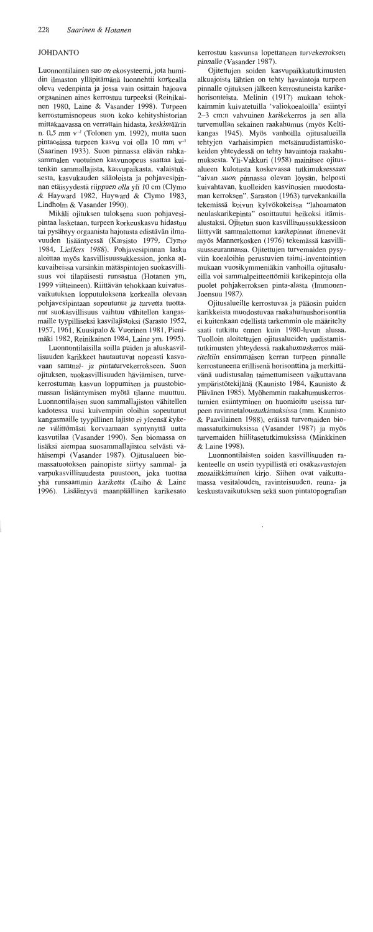# **JOHDANTO**

Luonnontilainen suo on ekosysteemi, jota humidin ilmaston ylläpitämänä luonnehtii korkealla oleva vedenpinta ja jossa vain osittain hajoava orgaaninen aines kerrostuu turpeeksi (Reinikainen 1980, Laine & Vasander 1998). Turpeen kerrostumisnopeus suon koko kehityshistorian mittakaavassa on verrattain hidasta, keskimäärin n. 0.5 mm  $v^{-1}$  (Tolonen vm. 1992), mutta suon pintaosissa turpeen kasvu voi olla 10 mm v<sup>-1</sup> (Saarinen 1933). Suon pinnassa elävän rahkasammalen vuotuinen kasvunopeus saattaa kuitenkin sammallajista, kasvupaikasta, valaistuksesta, kasvukauden sääoloista ja pohjavesipinnan etäisyydestä riippuen olla yli 10 cm (Clymo & Hayward 1982, Hayward & Clymo 1983, Lindholm & Vasander 1990).

Mikäli ojituksen tuloksena suon pohjavesipintaa lasketaan, turpeen korkeuskasvu hidastuu tai pysähtyy orgaanista hajotusta edistävän ilmavuuden lisääntyessä (Karsisto 1979, Clymo 1984, Lieffers 1988). Pohjavesipinnan lasku aloittaa myös kasvillisuussukkession, jonka alkuvaiheissa varsinkin mätäspintojen suokasvillisuus voi tilapäisesti runsastua (Hotanen vm. 1999 viitteineen). Riittävän tehokkaan kuivatusvaikutuksen lopputuloksena korkealla olevaan pohjavesipintaan sopeutunut ja turvetta tuottanut suokasvillisuus vaihtuu vähitellen kangasmaille tyypilliseksi kasvilajistoksi (Sarasto 1952, 1957, 1961, Kuusipalo & Vuorinen 1981, Pienimäki 1982, Reinikainen 1984, Laine ym. 1995).

Luonnontilaisilla soilla puiden ja aluskasvillisuuden karikkeet hautautuvat nopeasti kasvavaan sammal- ja pintaturvekerrokseen. Suon ojituksen, suokasvillisuuden häviämisen, turvekerrostuman kasvun loppumisen ja puustobiomassan lisääntymisen myötä tilanne muuttuu. Luonnontilaisen suon sammallajiston vähitellen kadotessa uusi kuivempiin oloihin sopeutunut kangasmaille tyypillinen lajisto ei yleensä kykene välittömästi korvaamaan syntynyttä uutta kasvutilaa (Vasander 1990). Sen biomassa on lisäksi aiempaa suosammallajistoa selvästi vähäisempi (Vasander 1987). Ojitusalueen biomassatuotoksen painopiste siirtyy sammal- ja varpukasvillisuudesta puustoon, joka tuottaa yhä runsaammin kariketta (Laiho & Laine 1996). Lisääntyvä maanpäällinen karikesato kerrostuu kasvunsa lopettaneen turvekerroksen pinnalle (Vasander 1987).

Ojitettujen soiden kasvupaikkatutkimusten alkuajoista lähtien on tehty havaintoja turpeen pinnalle ojituksen jälkeen kerrostuneista karikehorisonteista. Melinin (1917) mukaan tehokkaimmin kuivatetuilla 'valiokoealoilla' esiintyi 2-3 cm:n vahvuinen karikekerros ja sen alla turvemullan sekainen raakahumus (myös Keltikangas 1945). Myös vanhoilla ojitusalueilla tehtyjen varhaisimpien metsänuudistamiskokeiden yhteydessä on tehty havaintoja raakahumuksesta. Yli-Vakkuri (1958) mainitsee ojitusalueen kulotusta koskevassa tutkimuksessaan "aivan suon pinnassa olevan löysän, helposti kuivahtavan, kuolleiden kasvinosien muodostaman kerroksen". Saraston (1963) turvekankailla tekemissä koivun kylvökokeissa "lahoamaton neulaskarikepinta" osoittautui heikoksi itämisalustaksi. Ojitetun suon kasvillisuussukkessioon liittyvät sammalettomat karikepinnat ilmenevät myös Mannerkosken (1976) tekemässä kasvillisuusseurannassa. Ojitettujen turvemaiden pysyviin koealoihin perustuvien taimi-inventointien mukaan vuosikymmeniäkin vanhoilla ojitusalueilla voi sammalpeitteettömiä karikepintoja olla puolet pohjakerroksen pinta-alasta (Immonen-Joensuu 1987).

Ojitusalueille kerrostuvaa ja pääosin puiden karikkeista muodostuvaa raakahumushorisonttia ei kuitenkaan edellistä tarkemmin ole määritelty saati tutkittu ennen kuin 1980-luvun alussa. Tuolloin aloitettujen ojitusalueiden uudistamistutkimusten yhteydessä raakahumuskerros määriteltiin ensimmäisen kerran turpeen pinnalle kerrostuneena erillisenä horisonttina ja merkittävänä uudistusalan taimettumiseen vaikuttavana ympäristötekijänä (Kaunisto 1984, Kaunisto & Päivänen 1985). Myöhemmin raakahumuskerrostumien esiintyminen on huomioitu useissa turpeen ravinnetaloustutkimuksissa (mm. Kaunisto & Paavilainen 1988), eräissä turvemaiden biomassatutkimuksissa (Vasander 1987) ja myös turvemaiden hiilitasetutkimuksissa (Minkkinen & Laine 1998).

Luonnontilaisten soiden kasvillisuuden rakenteelle on usein tyypillistä eri osakasvustojen mosaiikkimainen kirjo. Siihen ovat vaikuttamassa vesitalouden, ravinteisuuden, reuna- ja keskustavaikutuksen sekä suon pintatopografian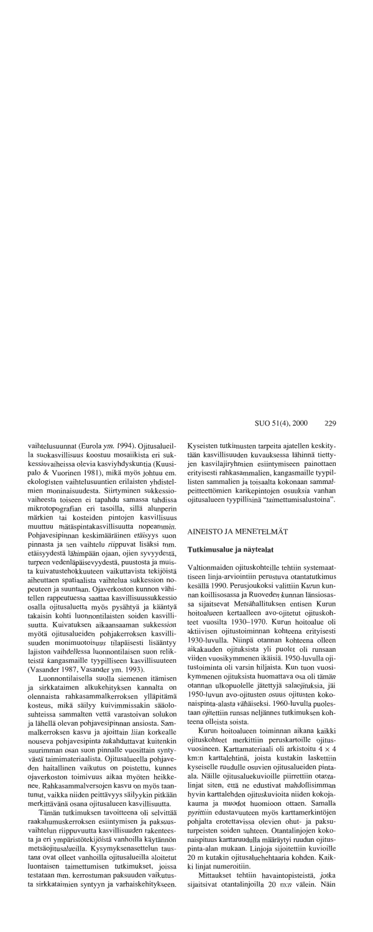vaihtelusuunnat (Eurola ym. 1994). Ojitusalueilla suokasvillisuus koostuu mosaiikista eri sukkessiovaiheissa olevia kasviyhdyskuntia (Kuusipalo & Vuorinen 1981), mikä myös johtuu em. ekologisten vaihtelusuuntien erilaisten yhdistelmien moninaisuudesta. Siirtyminen sukkessiovaiheesta toiseen ei tapahdu samassa tahdissa mikrotopografian eri tasoilla, sillä alunperin märkien tai kosteiden pintojen kasvillisuus muuttuu mätäspintakasvillisuutta nopeammin. Pohjavesipinnan keskimääräinen etäisyys suon pinnasta ja sen vaihtelu riippuvat lisäksi mm. etäisyydestä lähimpään ojaan, ojien syvyydestä, turpeen vedenläpäisevyydestä, puustosta ja muista kuivatustehokkuuteen vaikuttavista tekijöistä aiheuttaen spatiaalista vaihtelua sukkession nopeuteen ja suuntaan. Ojaverkoston kunnon vähitellen rappeutuessa saattaa kasvillisuussukkessio osalla ojitusaluetta myös pysähtyä ja kääntyä takaisin kohti luonnontilaisten soiden kasvillisuutta. Kuivatuksen aikaansaaman sukkession myötä ojitusalueiden pohjakerroksen kasvillisuuden monimuotoisuus tilapäisesti lisääntyy lajiston vaihdellessa luonnontilaisen suon relikteistä kangasmaille tyypilliseen kasvillisuuteen (Vasander 1987, Vasander ym. 1993).

Luonnontilaisella suolla siemenen itämisen ja sirkkataimen alkukehityksen kannalta on olennaista rahkasammalkerroksen ylläpitämä kosteus, mikä säilyy kuivimmissakin sääolosuhteissa sammalten vettä varastoivan solukon ja lähellä olevan pohjavesipinnan ansiosta. Sammalkerroksen kasvu ja ajoittain liian korkealle nouseva pohjavesipinta tukahduttavat kuitenkin suurimman osan suon pinnalle vuosittain syntyvästä taimimateriaalista. Ojitusalueella pohjaveden haitallinen vaikutus on poistettu, kunnes ojaverkoston toimivuus aikaa myöten heikkenee. Rahkasammalversojen kasvu on myös taantunut, vaikka niiden peittävyys säilyykin pitkään merkittävänä osana ojitusalueen kasvillisuutta.

Tämän tutkimuksen tavoitteena oli selvittää raakahumuskerroksen esiintymisen ja paksuusvaihtelun riippuvuutta kasvillisuuden rakenteesta ja eri ympäristötekijöistä vanhoilla käytännön metsäojitusalueilla. Kysymyksenasettelun taustana ovat olleet vanhoilla ojitusalueilla aloitetut luontaisen taimettumisen tutkimukset, joissa testataan mm. kerrostuman paksuuden vaikutusta sirkkataimien syntyyn ja varhaiskehitykseen.

Kyseisten tutkimusten tarpeita ajatellen keskitytään kasvillisuuden kuvauksessa lähinnä tiettyjen kasvilajiryhmien esiintymiseen painottaen erityisesti rahkasammalien, kangasmaille tyypillisten sammalien ja toisaalta kokonaan sammalpeitteettömien karikepintojen osuuksia vanhan ojitusalueen tyypillisinä "taimettumisalustoina".

# AINEISTO JA MENETELMÄT

#### Tutkimusalue ja näytealat

Valtionmaiden ojituskohteille tehtiin systemaattiseen linja-arviointiin perustuva otantatutkimus kesällä 1990. Perusjoukoksi valittiin Kurun kunnan koillisosassa ja Ruoveden kunnan länsiosassa sijaitsevat Metsähallituksen entisen Kurun hoitoalueen kertaalleen avo-ojitetut ojituskohteet vuosilta 1930-1970. Kurun hoitoalue oli aktiivisen ojitustoiminnan kohteena erityisesti 1930-luvulla. Niinpä otannan kohteena olleen aikakauden ojituksista yli puolet oli runsaan viiden vuosikymmenen ikäisiä. 1950-luvulla ojitustoiminta oli varsin hiljaista. Kun tuon vuosikymmenen ojituksista huomattava osa oli tämän otannan ulkopuolelle jätettyjä salaojituksia, jäi 1950-luvun avo-ojitusten osuus ojitusten kokonaispinta-alasta vähäiseksi. 1960-luvulla puolestaan ojitettiin runsas neljännes tutkimuksen kohteena olleista soista.

Kurun hoitoalueen toiminnan aikana kaikki ojituskohteet merkittiin peruskartoille ojitusvuosineen. Karttamateriaali oli arkistoitu 4 × 4 km:n karttalehtinä, joista kustakin laskettiin kyseiselle ruudulle osuvien ojitusalueiden pintaala. Näille ojitusaluekuvioille piirrettiin otantalinjat siten, että ne edustivat mahdollisimman hyvin karttalehden ojituskuvioita niiden kokojakauma ja muodot huomioon ottaen. Samalla pyrittiin edustavuuteen myös karttamerkintöjen pohjalta erotettavissa olevien ohut- ja paksuturpeisten soiden suhteen. Otantalinjojen kokonaispituus karttaruudulla määräytyi ruudun ojituspinta-alan mukaan. Linjoja sijoitettiin kuvioille 20 m kutakin ojitusaluehehtaaria kohden. Kaikki linjat numeroitiin.

Mittaukset tehtiin havaintopisteistä, jotka sijaitsivat otantalinjoilla 20 m:n välein. Näin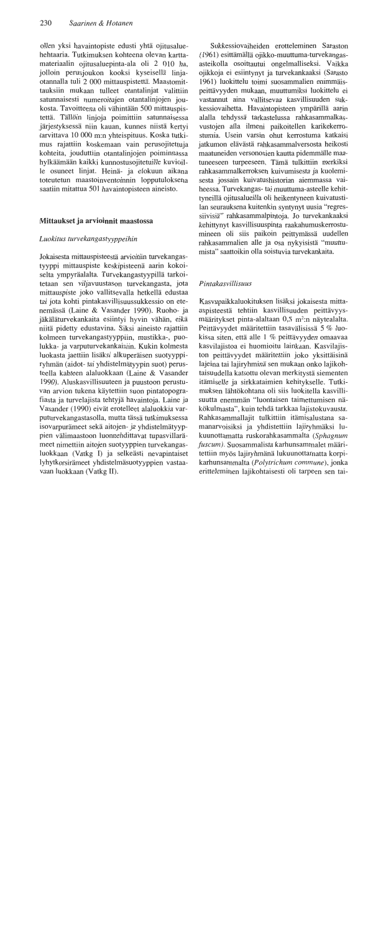ollen yksi havaintopiste edusti yhtä ojitusaluehehtaaria. Tutkimuksen kohteena olevan karttamateriaalin oiitusaluepinta-ala oli 2 010 ha. jolloin perusjoukon kooksi kyseisellä linjaotannalla tuli 2 000 mittauspistettä. Maastomittauksiin mukaan tulleet otantaliniat valittiin satunnaisesti numeroitujen otantalinjojen joukosta. Tavoitteena oli vähintään 500 mittauspistettä. Tällöin linjoja poimittiin satunnaisessa järjestyksessä niin kauan, kunnes niistä kertyi tarvittava 10 000 m:n yhteispituus. Koska tutkimus rajattiin koskemaan vain perusojitettuja kohteita, jouduttiin otantalinjojen poiminnassa hylkäämään kaikki kunnostusojitetuille kuvioille osuneet linjat. Heinä- ja elokuun aikana toteutetun maastoinventoinnin lopputuloksena saatiin mitattua 501 havaintopisteen aineisto.

## Mittaukset ja arvioinnit maastossa

#### Luokitus turvekangastyyppeihin

Jokaisesta mittauspisteestä arvioitiin turvekangastyyppi mittauspiste keskipisteenä aarin kokoiselta ympyräalalta. Turvekangastyypillä tarkoitetaan sen viljavuustason turvekangasta, jota mittauspiste joko vallitsevalla hetkellä edustaa tai jota kohti pintakasvillisuussukkessio on etenemässä (Laine & Vasander 1990). Ruoho- ja jäkäläturvekankaita esiintyi hyvin vähän, eikä niitä pidetty edustavina. Siksi aineisto rajattiin kolmeen turvekangastyyppiin, mustikka-, puolukka- ja varputurvekankaisiin. Kukin kolmesta luokasta jaettiin lisäksi alkuperäisen suotyyppiryhmän (aidot- tai yhdistelmätyypin suot) perusteella kahteen alaluokkaan (Laine & Vasander 1990). Aluskasvillisuuteen ja puustoon perustuvan arvion tukena käytettiin suon pintatopografiasta ja turvelajista tehtyjä havaintoja. Laine ja Vasander (1990) eivät erotelleet alaluokkia varputurvekangastasolla, mutta tässä tutkimuksessa isovarpurämeet sekä aitojen- ja yhdistelmätyyppien välimaastoon luonnehdittavat tupasvillarämeet nimettiin aitojen suotyyppien turvekangasluokkaan (Vatkg I) ja selkeästi nevapintaiset lyhytkorsirämeet yhdistelmäsuotyyppien vastaavaan luokkaan (Vatkg II).

Sukkessiovaiheiden erotteleminen Saraston (1961) esittämällä ojikko-muuttuma-turvekangasasteikolla osoittautui ongelmalliseksi. Vaikka ojikkoja ei esiintynyt ja turvekankaaksi (Sarasto 1961) luokittelu toimi suosammalien enimmäispeittävyyden mukaan, muuttumiksi luokittelu ei vastannut aina vallitsevaa kasvillisuuden sukkessiovaihetta. Havaintopisteen ympärillä aarin alalla tehdyssä tarkastelussa rahkasammalkasvustojen alla ilmeni paikoitellen karikekerrostumia. Usein varsin ohut kerrostuma katkaisi jatkumon elävästä rahkasammalversosta heikosti maatuneiden versonosien kautta pidemmälle maatuneeseen turpeeseen. Tämä tulkittiin merkiksi rahkasammalkerroksen kuivumisesta ja kuolemisesta jossain kuivatushistorian aiemmassa vaiheessa. Turvekangas- tai muuttuma-asteelle kehittyneillä ojitusalueilla oli heikentyneen kuivatustilan seurauksena kuitenkin syntynyt uusia "regressiivisiä" rahkasammalpintoja. Jo turvekankaaksi kehittynyt kasvillisuuspinta raakahumuskerrostumineen oli siis paikoin peittymässä uudellen rahkasammalien alle ja osa nykyisistä "muuttumista" saattoikin olla soistuvia turvekankaita.

# *Pintakasvillisuus*

Kasvupaikkaluokituksen lisäksi jokaisesta mittauspisteestä tehtiin kasvillisuuden peittävyysmääritykset pinta-alaltaan 0,5 m<sup>2</sup>:n näytealalta. Peittävyydet määritettiin tasavälisissä 5 % luokissa siten, että alle 1 % peittävyyden omaavaa kasvilajistoa ei huomioitu lainkaan. Kasvilajiston peittävyydet määritettiin joko yksittäisinä lajeina tai lajiryhminä sen mukaan onko lajikohtaisuudella katsottu olevan merkitystä siementen itämiselle ja sirkkataimien kehitykselle. Tutkimuksen lähtökohtana oli siis luokitella kasvillisuutta enemmän "luontaisen taimettumisen näkökulmasta", kuin tehdä tarkkaa lajistokuvausta. Rahkasammallajit tulkittiin itämisalustana samanarvoisiksi ja yhdistettiin lajiryhmäksi lukuunottamatta ruskorahkasammalta (Sphagnum fuscum). Suosammalista karhunsammalet määritettiin myös lajiryhmänä lukuunottamatta korpikarhunsammalta (Polytrichum commune), jonka eritteleminen lajikohtaisesti oli tarpeen sen tai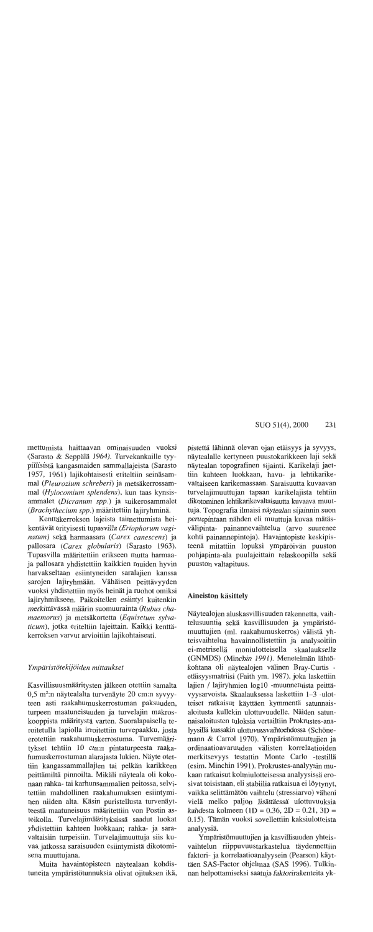mettumista haittaavan ominaisuuden vuoksi (Sarasto & Seppälä 1964). Turvekankaille tyypillisistä kangasmaiden sammallajeista (Sarasto 1957, 1961) lajikohtaisesti eriteltiin seinäsammal (Pleurozium schreberi) ja metsäkerrossammal (Hylocomium splendens), kun taas kynsisammalet (Dicranum spp.) ja suikerosammalet (Brachythecium spp.) määritettiin lajiryhminä.

Kenttäkerroksen lajeista taimettumista heikentävät erityisesti tupasvilla (Eriophorum vaginatum) sekä harmaasara (Carex canescens) ja pallosara (Carex globularis) (Sarasto 1963). Tupasvilla määritettiin erikseen mutta harmaaja pallosara yhdistettiin kaikkien muiden hyvin harvakseltaan esiintyneiden saralajien kanssa sarojen lajiryhmään. Vähäisen peittävyyden vuoksi yhdistettiin myös heinät ja ruohot omiksi lajiryhmikseen. Paikoitellen esiintyi kuitenkin merkittävässä määrin suomuurainta (Rubus chamaemorus) ja metsäkortetta (Equisetum sylvaticum), jotka eriteltiin lajeittain. Kaikki kenttäkerroksen varvut arvioitiin lajikohtaisesti.

## Ympäristötekijöiden mittaukset

Kasvillisuusmääritysten jälkeen otettiin samalta 0,5 m<sup>2</sup>:n näytealalta turvenäyte 20 cm:n syvyyteen asti raakahumuskerrostuman paksuuden, turpeen maatuneisuuden ja turvelajin makroskooppista määritystä varten. Suoralapaisella teroitetulla lapiolla irroitettiin turvepaakku, josta erotettiin raakahumuskerrostuma. Turvemääritykset tehtiin 10 cm:n pintaturpeesta raakahumuskerrostuman alarajasta lukien. Näyte otettiin kangassammallajien tai pelkän karikkeen peittämiltä pinnoilta. Mikäli näyteala oli kokonaan rahka- tai karhunsammalien peitossa, selvitettiin mahdollinen raakahumuksen esiintyminen niiden alta. Käsin puristellusta turvenäytteestä maatuneisuus määritettiin von Postin asteikolla. Turvelajimäärityksissä saadut luokat yhdistettiin kahteen luokkaan; rahka- ja saravaltaisiin turpeisiin. Turvelajimuuttuja siis kuvaa jatkossa saraisuuden esiintymistä dikotomisena muuttujana.

Muita havaintopisteen näytealaan kohdistuneita ympäristötunnuksia olivat ojituksen ikä, pistettä lähinnä olevan ojan etäisyys ja syvyys, näytealalle kertyneen puustokarikkeen laji sekä näytealan topografinen sijainti. Karikelaji jaettiin kahteen luokkaan, havu- ja lehtikarikevaltaiseen karikemassaan. Saraisuutta kuvaavan turvelajimuuttujan tapaan karikelajista tehtiin dikotominen lehtikarikevaltaisuutta kuvaava muuttuja. Topografia ilmaisi näytealan sijainnin suon peruspintaan nähden eli muuttuja kuvaa mätäsvälipinta- painannevaihtelua (arvo suurenee kohti painannepintoja). Havaintopiste keskipisteenä mitattiin lopuksi ympäröivän puuston pohjapinta-ala puulajeittain relaskoopilla sekä puuston valtapituus.

## **Aineiston käsittely**

Näytealojen aluskasvillisuuden rakennetta, vaihtelusuuntia sekä kasvillisuuden ja ympäristömuuttujien (ml. raakahumuskerros) välistä yhteisvaihtelua havainnollistettiin ja analysoitiin ei-metrisellä moniulotteisella skaalauksella (GNMDS) (Minchin 1991). Menetelmän lähtökohtana oli näytealojen välinen Bray-Curtis etäisyysmatriisi (Faith ym. 1987), joka laskettiin lajien / lajiryhmien log10 -muunnetuista peittävyysarvoista. Skaalauksessa laskettiin 1-3 -ulotteiset ratkaisut käyttäen kymmentä satunnaisaloitusta kullekin ulottuvuudelle. Näiden satunnaisaloitusten tuloksia vertailtiin Prokrustes-analyysillä kussakin ulottuvuusvaihtoehdossa (Schönemann & Carrol 1970). Ympäristömuuttujien ja ordinaatioavaruuden välisten korrelaatioiden merkitsevyys testattin Monte Carlo -testillä (esim. Minchin 1991). Prokrustes-analyysin mukaan ratkaisut kolmiulotteisessa analyysissä erosivat toisistaan, eli stabiilia ratkaisua ei löytynyt, vaikka selittämätön vaihtelu (stressiarvo) väheni vielä melko paljon lisättäessä ulottuvuuksia kahdesta kolmeen (1D = 0.36, 2D = 0.21, 3D = 0.15). Tämän vuoksi sovellettiin kaksiulotteista analyysiä.

Ympäristömuuttujien ja kasvillisuuden yhteisvaihtelun riippuvuustarkastelua täydennettiin faktori- ja korrelaatioanalyysein (Pearson) käyttäen SAS-Factor ohjelmaa (SAS 1996). Tulkinnan helpottamiseksi saatuja faktorirakenteita yk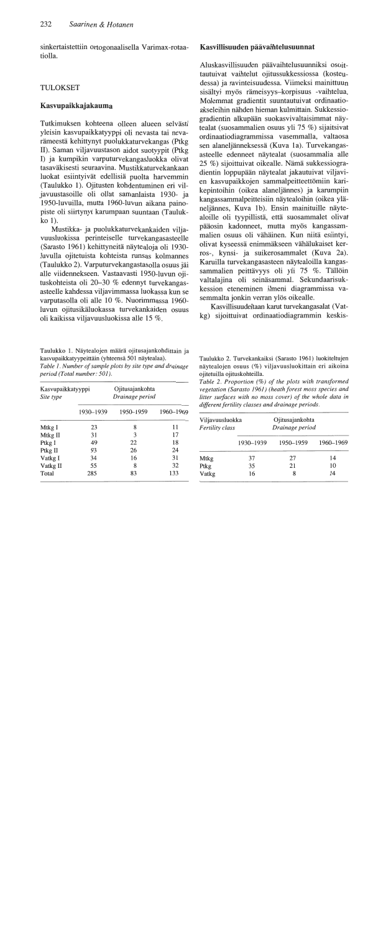sinkertaistettiin ortogonaalisella Varimax-rotaatiolla.

# **TULOKSET**

# Kasvupaikkajakauma

Tutkimuksen kohteena olleen alueen selvästi yleisin kasvupaikkatyyppi oli nevasta tai nevarämeestä kehittynyt puolukkaturvekangas (Ptkg II). Saman viljavuustason aidot suotyypit (Ptkg I) ja kumpikin varputurvekangasluokka olivat tasaväkisesti seuraavina. Mustikkaturvekankaan luokat esiintyivät edellisiä puolta harvemmin (Taulukko 1). Ojitusten kohdentuminen eri viljavuustasoille oli ollut samanlaista 1930- ja 1950-luvuilla, mutta 1960-luvun aikana painopiste oli siirtynyt karumpaan suuntaan (Taulukko 1).

Mustikka- ja puolukkaturvekankaiden viljavuusluokissa perinteiselle turvekangasasteelle (Sarasto 1961) kehittyneitä näytealoja oli 1930luvulla ojitetuista kohteista runsas kolmannes (Taulukko 2). Varputurvekangastasolla osuus jäi alle viidennekseen. Vastaavasti 1950-luvun ojituskohteista oli 20–30 % edennyt turvekangasasteelle kahdessa viljavimmassa luokassa kun se varputasolla oli alle 10 %. Nuorimmassa 1960luvun ojitusikäluokassa turvekankaiden osuus oli kaikissa viljavuusluokissa alle 15 %.

Taulukko 1. Näytealojen määrä ojitusajankohdittain ja kasvupaikkatyypeittäin (yhteensä 501 näytealaa). Table 1. Number of sample plots by site type and drainage period (Total number: 501).

| Kasvupaikkatyyppi<br>Site type |           | Ojitusajankohta<br>Drainage period |           |  |
|--------------------------------|-----------|------------------------------------|-----------|--|
|                                | 1930–1939 | 1950-1959                          | 1960-1969 |  |
| Mtkg I                         | 23        | 8                                  | 11        |  |
| Mtkg II                        | 31        | 3                                  | 17        |  |
| Ptkg I                         | 49        | 22                                 | 18        |  |
| Ptkg II                        | 93        | 26                                 | 24        |  |
| Vatkg I                        | 34        | 16                                 | 31        |  |
| Vatkg II                       | 55        | 8                                  | 32        |  |
| Total                          | 285       | 83                                 | 133       |  |

# Kasvillisuuden päävaihtelusuunnat

Aluskasvillisuuden päävaihtelusuunniksi osoittautuivat vaihtelut ojitussukkessiossa (kosteudessa) ja ravinteisuudessa. Viimeksi mainittuun sisältyi myös rämeisyys-korpisuus -vaihtelua. Molemmat gradientit suuntautuivat ordinaatioakseleihin nähden hieman kulmittain. Sukkessiogradientin alkupään suokasvivaltaisimmat nävtealat (suosammalien osuus yli 75 %) sijaitsivat ordinaatiodiagrammissa vasemmalla, valtaosa sen alaneljänneksessä (Kuva 1a). Turvekangasasteelle edenneet näytealat (suosammalia alle 25 %) sijoittuivat oikealle. Nämä sukkessiogradientin loppupään näytealat jakautuivat viljavien kasvupaikkojen sammalpeitteettömiin karikepintoihin (oikea alaneljännes) ja karumpiin kangassammalpeitteisiin näytealoihin (oikea yläneljännes, Kuva 1b). Ensin mainituille näytealoille oli tyypillistä, että suosammalet olivat pääosin kadonneet, mutta myös kangassammalien osuus oli vähäinen. Kun niitä esiintyi, olivat kyseessä enimmäkseen vähälukuiset kerros-, kynsi- ja suikerosammalet (Kuva 2a). Karuilla turvekangasasteen näytealoilla kangassammalien peittävyys oli yli 75 %. Tällöin valtalajina oli seinäsammal. Sekundaarisukkession eteneminen ilmeni diagrammissa vasemmalta jonkin verran ylös oikealle.

Kasvillisuudeltaan karut turvekangasalat (Vatkg) sijoittuivat ordinaatiodiagrammin keskis-

Taulukko 2. Turvekankaiksi (Sarasto 1961) luokiteltujen näytealojen osuus (%) viljavuusluokittain eri aikoina ojitetuilla ojituskohteilla.

Table 2. Proportion (%) of the plots with transformed vegetation (Sarasto 1961) (heath forest moss species and litter surfaces with no moss cover) of the whole data in different fertility classes and drainage periods.

| Viljavuusluokka<br>Fertility class |           | Ojitusajankohta<br>Drainage period |           |  |
|------------------------------------|-----------|------------------------------------|-----------|--|
|                                    | 1930-1939 | 1950-1959                          | 1960-1969 |  |
| Mtkg                               | 37        | 27                                 | 14        |  |
| Ptkg                               | 35        | 21                                 | 10        |  |
| Vatkg                              | 16        | 8                                  | 14        |  |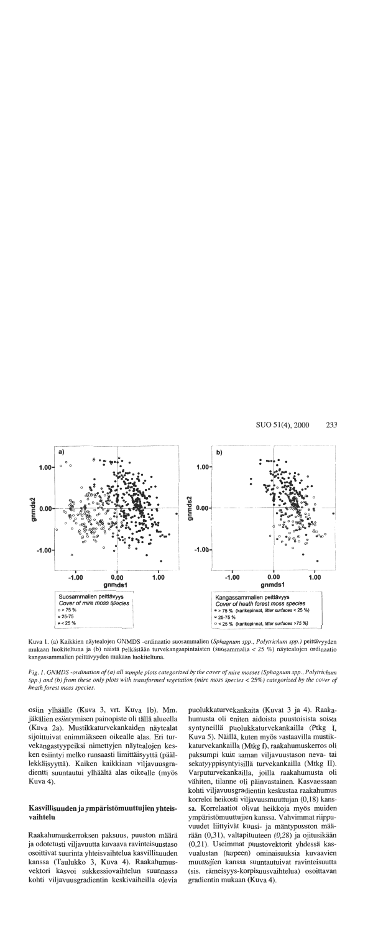

Kuva 1. (a) Kaikkien näytealojen GNMDS -ordinaatio suosammalien (Sphagnum spp., Polytrichum spp.) peittävyyden mukaan luokiteltuna ja (b) näistä pelkästään turvekangaspintaisten (suosammalia < 25 %) näytealojen ordinaatio kangassammalien peittävyyden mukaan luokiteltuna.

Fig. 1. GNMDS -ordination of (a) all sample plots categorized by the cover of mire mosses (Sphagnum spp., Polytrichum spp.) and (b) from these only plots with transformed vegetation (mire moss species  $<$  25%) categorized by the cover of heath forest moss species.

osiin ylhäälle (Kuva 3, vrt. Kuva 1b). Mm. jäkälien esiintymisen painopiste oli tällä alueella (Kuva 2a). Mustikkaturvekankaiden näytealat sijoittuivat enimmäkseen oikealle alas. Eri turvekangastyypeiksi nimettyjen näytealojen kesken esiintyi melko runsaasti limittäisyyttä (päällekkäisyyttä). Kaiken kaikkiaan viljavuusgradientti suuntautui ylhäältä alas oikealle (myös Kuva 4).

## Kasvillisuuden ja ympäristömuuttujien yhteisvaihtelu

Raakahumuskerroksen paksuus, puuston määrä ja odotetusti viljavuutta kuvaava ravinteisuustaso osoittivat suurinta yhteisvaihtelua kasvillisuuden kanssa (Taulukko 3, Kuva 4). Raakahumusvektori kasvoi sukkessiovaihtelun suunnassa kohti viljavuusgradientin keskivaiheilla olevia puolukkaturvekankaita (Kuvat 3 ja 4). Raakahumusta oli eniten aidoista puustoisista soista syntyneillä puolukkaturvekankailla (Ptkg I, Kuva 5). Näillä, kuten myös vastaavilla mustikkaturvekankailla (Mtkg I), raakahumuskerros oli paksumpi kuin saman viljavuustason neva- tai sekatyyppisyntyisillä turvekankailla (Mtkg II). Varputurvekankailla, joilla raakahumusta oli vähiten, tilanne oli päinvastainen. Kasvaessaan kohti viljavuusgradientin keskustaa raakahumus korreloi heikosti viljavuusmuuttujan (0,18) kanssa. Korrelaatiot olivat heikkoja myös muiden ympäristömuuttujien kanssa. Vahvimmat riippuvuudet liittyivät kuusi- ja mäntypuuston määrään (0,31), valtapituuteen (0,28) ja ojitusikään (0,21). Useimmat puustovektorit yhdessä kasvualustan (turpeen) ominaisuuksia kuvaavien muuttujien kanssa suuntautuivat ravinteisuutta (sis. rämeisyys-korpisuusvaihtelua) osoittavan gradientin mukaan (Kuva 4).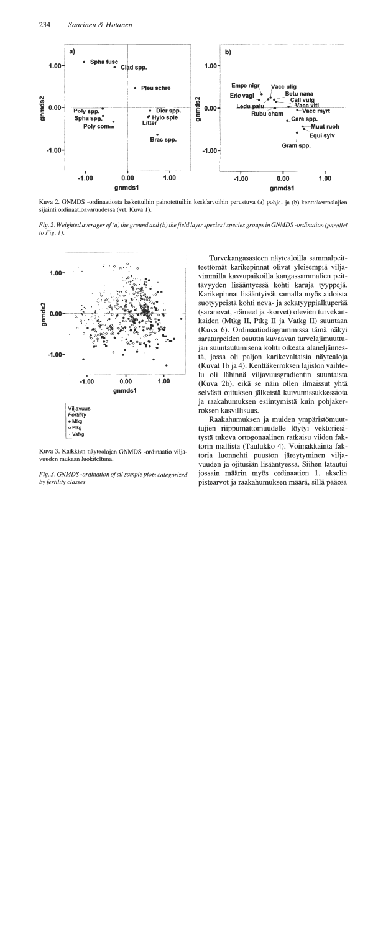

Kuva 2. GNMDS -ordinaatiosta laskettuihin painotettuihin keskiarvoihin perustuva (a) pohja- ja (b) kenttäkerroslajien sijainti ordinaatioavaruudessa (vrt. Kuva 1).

Fig. 2. Weighted averages of (a) the ground and (b) the field layer species / species groups in GNMDS -ordination (parallel to  $Fig. 1$ ).



Kuva 3. Kaikkien näytealojen GNMDS -ordinaatio viljavuuden mukaan luokiteltuna.

Fig. 3. GNMDS -ordination of all sample plots categorized by fertility classes.

Turvekangasasteen näytealoilla sammalpeitteettömät karikepinnat olivat yleisempiä viljavimmilla kasvupaikoilla kangassammalien peittävyyden lisääntyessä kohti karuja tyyppejä. Karikepinnat lisääntyivät samalla myös aidoista suotyypeistä kohti neva- ja sekatyyppialkuperää (saranevat, -rämeet ja -korvet) olevien turvekankaiden (Mtkg II, Ptkg II ja Vatkg II) suuntaan (Kuva 6). Ordinaatiodiagrammissa tämä näkyi saraturpeiden osuutta kuvaavan turvelajimuuttujan suuntautumisena kohti oikeata alaneljännestä, jossa oli paljon karikevaltaisia näytealoja (Kuvat 1b ja 4). Kenttäkerroksen lajiston vaihtelu oli lähinnä viljavuusgradientin suuntaista (Kuva 2b), eikä se näin ollen ilmaissut yhtä selvästi ojituksen jälkeistä kuivumissukkessiota ja raakahumuksen esiintymistä kuin pohjakerroksen kasvillisuus.

Raakahumuksen ja muiden ympäristömuuttujien riippumattomuudelle löytyi vektoriesitystä tukeva ortogonaalinen ratkaisu viiden faktorin mallista (Taulukko 4). Voimakkainta faktoria luonnehti puuston järeytyminen viljavuuden ja ojitusiän lisääntyessä. Siihen latautui jossain määrin myös ordinaation 1. akselin pistearvot ja raakahumuksen määrä, sillä pääosa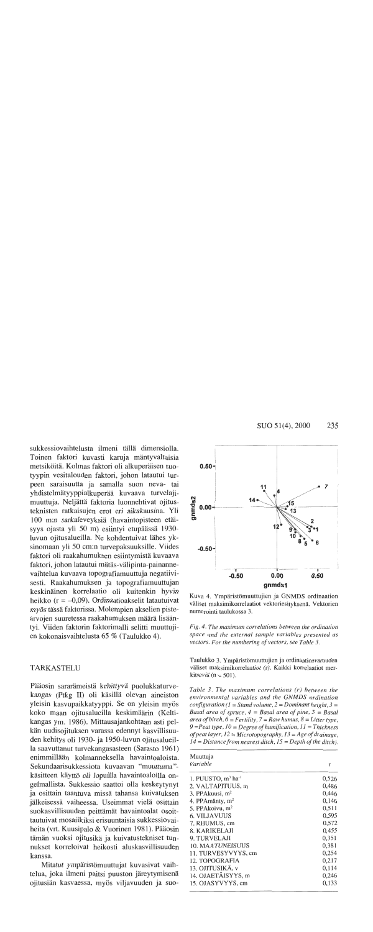sukkessiovaihtelusta ilmeni tällä dimensiolla. Toinen faktori kuvasti karuja mäntyvaltaisia metsiköitä. Kolmas faktori oli alkuperäisen suotyypin vesitalouden faktori, johon latautui turpeen saraisuutta ja samalla suon neva- tai yhdistelmätyyppialkuperää kuvaava turvelajimuuttuja. Neljättä faktoria luonnehtivat ojitusteknisten ratkaisujen erot eri aikakausina. Yli 100 m:n sarkaleveyksiä (havaintopisteen etäisyys ojasta yli 50 m) esiintyi etupäässä 1930luvun ojitusalueilla. Ne kohdentuivat lähes yksinomaan yli 50 cm:n turvepaksuuksille. Viides faktori oli raakahumuksen esiintymistä kuvaava faktori, johon latautui mätäs-välipinta-painannevaihtelua kuvaava topografiamuuttuja negatiivisesti. Raakahumuksen ja topografiamuuttujan keskinäinen korrelaatio oli kuitenkin hyvin heikko ( $r = -0.09$ ). Ordinaatioakselit latautuivat myös tässä faktorissa. Molempien akselien pistearvojen suuretessa raakahumuksen määrä lisääntyi. Viiden faktorin faktorimalli selitti muuttujien kokonaisvaihtelusta 65 % (Taulukko 4).

# **TARKASTELU**

Pääosin sararämeistä kehittyvä puolukkaturvekangas (Ptkg II) oli käsillä olevan aineiston yleisin kasvupaikkatyyppi. Se on yleisin myös koko maan ojitusalueilla keskimäärin (Keltikangas ym. 1986). Mittausajankohtaan asti pelkän uudisojituksen varassa edennyt kasvillisuuden kehitys oli 1930- ja 1950-luvun ojitusalueilla saavuttanut turvekangasasteen (Sarasto 1961) enimmillään kolmanneksella havaintoaloista. Sekundaarisukkessiota kuvaavan "muuttuma"käsitteen käyttö oli lopuilla havaintoaloilla ongelmallista. Sukkessio saattoi olla keskeytynyt ja osittain taantuva missä tahansa kuivatuksen jälkeisessä vaiheessa. Useimmat vielä osittain suokasvillisuuden peittämät havaintoalat osoittautuivat mosaiikiksi erisuuntaisia sukkessiovaiheita (vrt. Kuusipalo & Vuorinen 1981). Pääosin tämän vuoksi ojitusikä ja kuivatustekniset tunnukset korreloivat heikosti aluskasvillisuuden kanssa.

Mitatut ympäristömuuttujat kuvasivat vaihtelua, joka ilmeni paitsi puuston järeytymisenä ojitusiän kasvaessa, myös viljavuuden ja suo-



Kuva 4. Ympäristömuuttujien ja GNMDS ordinaation väliset maksimikorrelaatiot vektoriesityksenä. Vektorien numerointi taulukossa 3.

Fig. 4. The maximum correlations between the ordination space and the external sample variables presented as vectors. For the numbering of vectors, see Table 3.

Taulukko 3. Ympäristömuuttujien ja ordinaatioavaruuden väliset maksimikorrelaatiot (r). Kaikki korrelaatiot merkitseviä ( $n = 501$ ).

Table 3. The maximum correlations (r) between the environmental variables and the GNMDS ordination configuration ( $l =$  Stand volume,  $2 =$  Dominant height,  $3 =$ Basal area of spruce,  $4 = Basal$  area of pine,  $5 = Basal$ area of birch,  $6 = F$ ertility,  $7 = Raw$  humus,  $8 = L$ itter type,  $9 =$ Peat type,  $10 =$ Degree of humification,  $11 =$ Thickness of peat layer,  $12 =$ Microtopography,  $13 =$ Age of drainage,  $14 = Distance from nearest ditch, 15 = Depth of the ditch.$ 

| Muuttuja<br>Variable                       |       |
|--------------------------------------------|-------|
|                                            | r     |
| 1. PUUSTO, m <sup>3</sup> ha <sup>-1</sup> | 0,526 |
| 2. VALTAPITUUS, m                          | 0,486 |
| 3. PPAkuusi, $m2$                          | 0,446 |
| 4. PPAmänty, m <sup>2</sup>                | 0,146 |
| 5. PPAkoivu, m <sup>2</sup>                | 0,511 |
| <b>6. VILJAVUUS</b>                        | 0,595 |
| 7. RHUMUS, cm                              | 0,572 |
| 8. KARIKELAJI                              | 0,455 |
| 9. TURVELAJI                               | 0,351 |
| 10. MAATUNEISUUS                           | 0,381 |
| 11. TURVESYVYYS, cm                        | 0,254 |
| 12. TOPOGRAFIA                             | 0,217 |
| 13. OJITUSIKÄ, v                           | 0,114 |
| 14. OJAETÄISYYS, m                         | 0,246 |
| 15. OJASYVYYS, cm                          | 0,133 |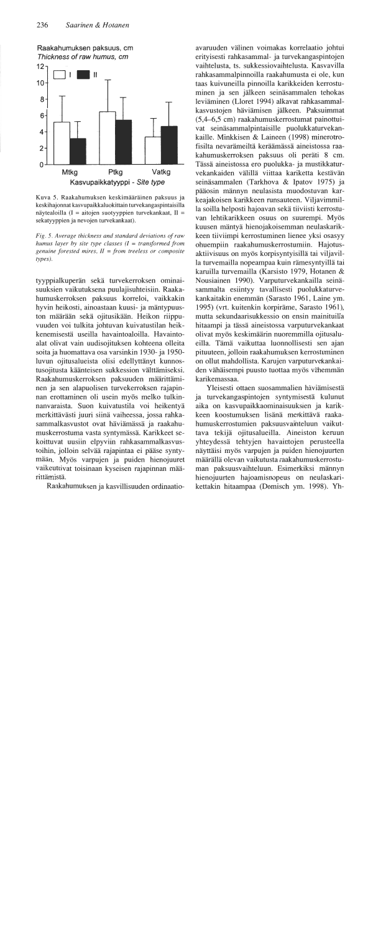Raakahumuksen paksuus, cm Thickness of raw humus, cm



Kuva 5. Raakahumuksen keskimääräinen paksuus ja keskihajonnat kasvupaikkaluokittain turvekangaspintaisilla näytealoilla (I = aitojen suotyyppien turvekankaat, II = sekatyyppien ja nevojen turvekankaat).

Fig. 5. Average thickness and standard deviations of raw humus layer by site type classes  $(I = transformed$  from genuine forested mires,  $II = from$  treeless or composite types).

tyyppialkuperän sekä turvekerroksen ominaisuuksien vaikutuksena puulajisuhteisiin. Raakahumuskerroksen paksuus korreloi, vaikkakin hyvin heikosti, ainoastaan kuusi- ja mäntypuuston määrään sekä ojitusikään. Heikon riippuvuuden voi tulkita johtuvan kuivatustilan heikkenemisestä useilla havaintoaloilla. Havaintoalat olivat vain uudisojituksen kohteena olleita soita ja huomattava osa varsinkin 1930- ja 1950luvun ojitusalueista olisi edellyttänyt kunnostusojitusta käänteisen sukkession välttämiseksi. Raakahumuskerroksen paksuuden määrittäminen ja sen alapuolisen turvekerroksen rajapinnan erottaminen oli usein myös melko tulkinnanvaraista. Suon kuivatustila voi heikentyä merkittävästi juuri siinä vaiheessa, jossa rahkasammalkasvustot ovat häviämässä ja raakahumuskerrostuma vasta syntymässä. Karikkeet sekoittuvat uusiin elpyviin rahkasammalkasvustoihin, jolloin selvää rajapintaa ei pääse syntymään. Myös varpujen ja puiden hienojuuret vaikeuttivat toisinaan kyseisen rajapinnan määrittämistä.

Raakahumuksen ja kasvillisuuden ordinaatio-

avaruuden välinen voimakas korrelaatio johtui erityisesti rahkasammal- ja turvekangaspintojen vaihtelusta, ts. sukkessiovaihtelusta. Kasvavilla rahkasammalpinnoilla raakahumusta ei ole, kun taas kuivuneilla pinnoilla karikkeiden kerrostuminen ja sen jälkeen seinäsammalen tehokas leviäminen (Lloret 1994) alkavat rahkasammalkasvustojen häviämisen jälkeen. Paksuimmat (5,4–6,5 cm) raakahumuskerrostumat painottuivat seinäsammalpintaisille puolukkaturvekankaille. Minkkisen & Laineen (1998) minerotrofisilta nevarämeiltä keräämässä aineistossa raakahumuskerroksen paksuus oli peräti 8 cm. Tässä aineistossa ero puolukka- ja mustikkaturvekankaiden välillä viittaa kariketta kestävän seinäsammalen (Tarkhova & Ipatov 1975) ja pääosin männyn neulasista muodostuvan karkeajakoisen karikkeen runsauteen. Viljavimmilla soilla helposti hajoavan sekä tiiviisti kerrostuvan lehtikarikkeen osuus on suurempi. Myös kuusen mäntyä hienojakoisemman neulaskarikkeen tiiviimpi kerrostuminen lienee yksi osasyy ohuempiin raakahumuskerrostumiin. Hajotusaktiivisuus on myös korpisyntyisillä tai viljavilla turvemailla nopeampaa kuin rämesyntyillä tai karuilla turvemailla (Karsisto 1979, Hotanen & Nousiainen 1990). Varputurvekankailla seinäsammalta esiintyy tavallisesti puolukkaturvekankaitakin enemmän (Sarasto 1961, Laine ym. 1995) (vrt. kuitenkin korpiräme, Sarasto 1961), mutta sekundaarisukkessio on ensin mainituilla hitaampi ja tässä aineistossa varputurvekankaat olivat myös keskimäärin nuoremmilla ojitusalueilla. Tämä vaikuttaa luonnollisesti sen ajan pituuteen, jolloin raakahumuksen kerrostuminen on ollut mahdollista. Karujen varputurvekankaiden vähäisempi puusto tuottaa myös vähemmän karikemassaa.

Yleisesti ottaen suosammalien häviämisestä ja turvekangaspintojen syntymisestä kulunut aika on kasvupaikkaominaisuuksien ja karikkeen koostumuksen lisänä merkittävä raakahumuskerrostumien paksuusvaihteluun vaikuttava tekijä ojitusalueilla. Aineiston keruun yhteydessä tehtyjen havaintojen perusteella näyttäisi myös varpujen ja puiden hienojuurten määrällä olevan vaikutusta raakahumuskerrostuman paksuusvaihteluun. Esimerkiksi männyn hienojuurten hajoamisnopeus on neulaskarikettakin hitaampaa (Domisch ym. 1998). Yh-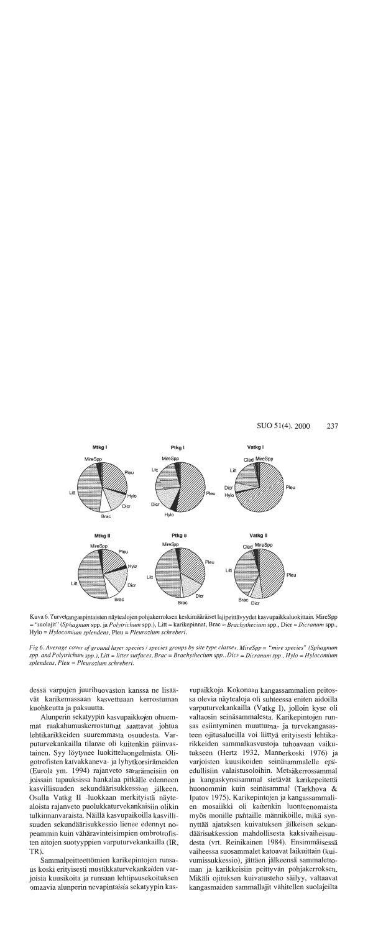

Kuva 6. Turvekangaspintaisten näytealojen pohjakerroksen keskimääräiset lajipeittävyydet kasvupaikkaluokittain. MireSpp = "suolajit" (Sphagnum spp. ja Polytrichum spp.), Litt = karikepinnat, Brac = Brachythecium spp., Dicr = Dicranum spp., Hylo = Hylocomium splendens, Pleu = Pleurozium schreberi.

Fig 6. Average cover of ground layer species / species groups by site type classes. MireSpp = "mire species" (Sphagnum spp. and Polytrichum spp.), Litt = litter surfaces, Brac = Brachythecium spp., Dicr = Dicranum spp., Hylo = Hylocomium splendens, Pleu = Pleurozium schreberi.

dessä varpujen juurihuovaston kanssa ne lisäävät karikemassaan kasvettuaan kerrostuman kuohkeutta ja paksuutta.

Alunperin sekatyypin kasvupaikkojen ohuemmat raakahumuskerrostumat saattavat johtua lehtikarikkeiden suuremmasta osuudesta. Varputurvekankailla tilanne oli kuitenkin päinvastainen. Syy löytynee luokitteluongelmista. Oligotrofisten kalvakkaneva- ja lyhytkorsirämeiden (Eurola ym. 1994) rajanveto sararämeisiin on joissain tapauksissa hankalaa pitkälle edenneen kasvillisuuden sekundäärisukkession jälkeen. Osalla Vatkg II -luokkaan merkityistä näytealoista rajanveto puolukkaturvekankaisiin olikin tulkinnanvaraista. Näillä kasvupaikoilla kasvillisuuden sekundäärisukkessio lienee edennyt nopeammin kuin vähäravinteisimpien ombrotrofisten aitojen suotyyppien varputurvekankailla (IR, TR).

Sammalpeitteettömien karikepintojen runsaus koski erityisesti mustikkaturvekankaiden varjoisia kuusikoita ja runsaan lehtipuusekoituksen omaavia alunperin nevapintaisia sekatyypin kasvupaikkoja. Kokonaan kangassammalien peitossa olevia näytealoja oli suhteessa eniten aidoilla varputurvekankailla (Vatkg I), jolloin kyse oli valtaosin seinäsammalesta. Karikepintojen runsas esiintyminen muuttuma- ja turvekangasasteen ojitusalueilla voi liittyä erityisesti lehtikarikkeiden sammalkasvustoja tuhoavaan vaikutukseen (Hertz 1932, Mannerkoski 1976) ja varjoisten kuusikoiden seinäsammalelle epäedullisiin valaistusoloihin. Metsäkerrossammal ja kangaskynsisammal sietävät karikepeitettä huonommin kuin seinäsammal (Tarkhova & Ipatov 1975). Karikepintojen ja kangassammalien mosaiikki oli kuitenkin luonteenomaista myös monille puhtaille männiköille, mikä synnyttää ajatuksen kuivatuksen jälkeisen sekundäärisukkession mahdollisesta kaksivaiheisuudesta (vrt. Reinikainen 1984). Ensimmäisessä vaiheessa suosammalet katoavat laikuittain (kuivumissukkessio), jättäen jälkeensä sammalettoman ja karikkeisiin peittyvän pohjakerroksen. Mikäli ojituksen kuivatusteho säilyy, valtaavat kangasmaiden sammallajit vähitellen suolajeilta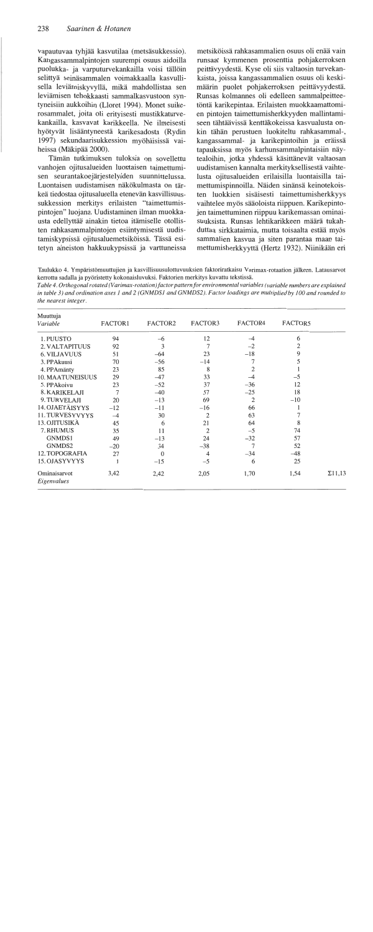vapautuvaa tyhjää kasvutilaa (metsäsukkessio). Kangassammalpintojen suurempi osuus aidoilla puolukka- ja varputurvekankailla voisi tällöin selittvä seinäsammalen voimakkaalla kasvullisella leviämiskyvyllä, mikä mahdollistaa sen leviämisen tehokkaasti sammalkasvustoon syntyneisiin aukkoihin (Lloret 1994). Monet suikerosammalet, joita oli erityisesti mustikkaturvekankailla, kasvavat karikkeella. Ne ilmeisesti hyötyvät lisääntyneestä karikesadosta (Rydin 1997) sekundaarisukkession myöhäisissä vaiheissa (Mäkipää 2000).

Tämän tutkimuksen tuloksia on sovellettu vanhojen ojitusalueiden luontaisen taimettumisen seurantakoejärjestelyiden suunnittelussa. Luontaisen uudistamisen näkökulmasta on tärkeä tiedostaa ojitusalueella etenevän kasvillisuussukkession merkitys erilaisten "taimettumispintojen" luojana. Uudistaminen ilman muokkausta edellyttää ainakin tietoa itämiselle otollisten rahkasammalpintojen esiintymisestä uudistamiskypsissä ojitusaluemetsiköissä. Tässä esitetyn aineiston hakkuukypsissä ja varttuneissa

metsiköissä rahkasammalien osuus oli enää vain runsaat kymmenen prosenttia pohjakerroksen peittävyydestä. Kyse oli siis valtaosin turvekankaista, joissa kangassammalien osuus oli keskimäärin puolet pohjakerroksen peittävyydestä. Runsas kolmannes oli edelleen sammalpeitteetöntä karikepintaa. Erilaisten muokkaamattomien pintojen taimettumisherkkyyden mallintamiseen tähtäävissä kenttäkokeissa kasvualusta onkin tähän perustuen luokiteltu rahkasammal-, kangassammal- ja karikepintoihin ja eräissä tapauksissa myös karhunsammalpintaisiin näytealoihin, jotka yhdessä käsittänevät valtaosan uudistamisen kannalta merkityksellisestä vaihtelusta ojitusalueiden erilaisilla luontaisilla taimettumispinnoilla. Näiden sinänsä keinotekoisten luokkien sisäisesti taimettumisherkkyys vaihtelee myös sääoloista riippuen. Karikepintojen taimettuminen riippuu karikemassan ominaisuuksista. Runsas lehtikarikkeen määrä tukahduttaa sirkkataimia, mutta toisaalta estää myös sammalien kasvua ja siten parantaa maan taimettumisherkkyyttä (Hertz 1932). Niinikään eri

Taulukko 4. Ympäristömuuttujien ja kasvillisuusulottuvuuksien faktoriratkaisu Varimax-rotaation jälkeen. Latausarvot kerrottu sadalla ja pyöristetty kokonaisluvuksi. Faktorien merkitys kuvattu tekstissä.

Table 4. Orthogonal rotated (Varimax-rotation) factor pattern for environmental variables (variable numbers are explained in table 3) and ordination axes 1 and 2 (GNMDS1 and GNMDS2). Factor loadings are multiplied by 100 and rounded to the nearest integer.

| Muuttuja<br>Variable        | FACTOR1 | FACTOR2        | FACTOR3        | FACTOR4        | FACTOR5 |                |
|-----------------------------|---------|----------------|----------------|----------------|---------|----------------|
| 1. PUUSTO                   | 94      | -6             | 12             | $^{-4}$        | 6       |                |
| 2. VALTAPITUUS              | 92      | 3              | 7              | $-2$           | 2       |                |
| <b>6. VILJAVUUS</b>         | 51      | $-64$          | 23             | $-18$          | 9       |                |
| 3. PPAkuusi                 | 70      | $-56$          | $-14$          | 7              |         |                |
| 4. PPAmänty                 | 23      | 85             | 8              | $\overline{2}$ |         |                |
| <b>10. MAATUNEISUUS</b>     | 29      | $-47$          | 33             | $-4$           | $-5$    |                |
| 5. PPAkoivu                 | 23      | $-52$          | 37             | $-36$          | 12      |                |
| 8. KARIKELAJI               | 7       | $-40$          | 57             | $-25$          | 18      |                |
| 9. TURVELAJI                | 20      | $-13$          | 69             | 2              | $-10$   |                |
| 14. OJAETÄISYYS             | $-12$   | $-11$          | $-16$          | 66             |         |                |
| 11. TURVESYVYYS             | $-4$    | 30             | $\overline{2}$ | 63             |         |                |
| 13. OJITUSIKÄ               | 45      | 6              | 21             | 64             | 8       |                |
| 7. RHUMUS                   | 35      | 11             | $\overline{2}$ | $-5$           | 74      |                |
| GNMDS1                      | 49      | $-13$          | 24             | $-32$          | 57      |                |
| GNMDS2                      | $-20$   | 34             | $-38$          | 7              | 52      |                |
| 12. TOPOGRAFIA              | 27      | $\overline{0}$ | 4              | $-34$          | $-48$   |                |
| 15. OJASYVYYS               |         | $-15$          | $-5$           | 6              | 25      |                |
| Ominaisarvot<br>Eigenvalues | 3,42    | 2,42           | 2,05           | 1,70           | 1,54    | $\Sigma$ 11,13 |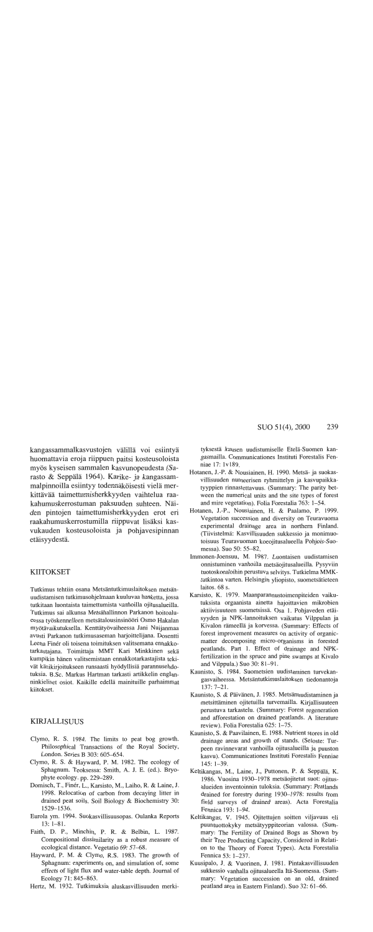kangassammalkasvustojen välillä voi esiintyä huomattavia eroja riippuen paitsi kosteusoloista myös kyseisen sammalen kasvunopeudesta (Sarasto & Seppälä 1964). Karike- ja kangassammalpinnoilla esiintyy todennäköisesti vielä merkittävää taimettumisherkkyyden vaihtelua raakahumuskerrostuman paksuuden suhteen. Näiden pintojen taimettumisherkkyyden erot eri raakahumuskerrostumilla riippuvat lisäksi kasvukauden kosteusoloista ja pohjavesipinnan etäisyydestä.

## KIITOKSET

Tutkimus tehtiin osana Metsäntutkimuslaitoksen metsänuudistamisen tutkimusohjelmaan kuuluvaa hanketta, jossa tutkitaan luontaista taimettumista vanhoilla ojitusalueilla. Tutkimus sai alkunsa Metsähallinnon Parkanon hoitoalueessa työskennelleen metsätalousinsinööri Osmo Hakalan myötävaikutuksella. Kenttätyövaiheessa Jani Nuijanmaa avusti Parkanon tutkimusaseman harjoittelijana. Dosentti Leena Finér oli toisena toimituksen valitsemana ennakkotarkastajana. Toimittaja MMT Kari Minkkinen sekä kumpikin hänen valitsemistaan ennakkotarkastajista tekivät käsikirjoitukseen runsaasti hyödyllisiä parannusehdotuksia. B.Sc. Markus Hartman tarkasti artikkelin englanninkieliset osiot. Kaikille edellä mainituille parhaimmat kiitokset.

### **KIRJALLISUUS**

- Clymo, R. S. 1984. The limits to peat bog growth. Philosophical Transactions of the Royal Society, London. Series B 303: 605-654.
- Clymo, R. S. & Hayward, P. M. 1982. The ecology of Sphagnum. Teoksessa: Smith, A. J. E. (ed.). Bryophyte ecology. pp. 229-289.
- Domisch, T., Finér, L., Karsisto, M., Laiho, R. & Laine, J. 1998. Relocation of carbon from decaying litter in drained peat soils. Soil Biology & Biochemistry 30: 1529-1536.
- Eurola ym. 1994. Suokasvillisuusopas. Oulanka Reports  $13:1 - 81.$
- Faith, D. P., Minchin, P. R. & Belbin, L. 1987. Compositional dissimilarity as a robust measure of ecological distance. Vegetatio 69: 57-68.
- Hayward, P. M. & Clymo, R.S. 1983. The growth of Sphagnum: experiments on, and simulation of, some effects of light flux and water-table depth. Journal of Ecology 71: 845–863.
- Hertz, M. 1932. Tutkimuksia aluskasvillisuuden merki-

tyksestä kuusen uudistumiselle Etelä-Suomen kangasmailla. Communicationes Instituti Forestalis Fenniae 17: 1v189.

- Hotanen, J.-P. & Nousiainen, H. 1990. Metsä- ja suokasvillisuuden numeerisen ryhmittelyn ja kasvupaikkatyyppien rinnastettavuus. (Summary: The parity between the numerical units and the site types of forest and mire vegetation). Folia Forestalia 763: 1-54.
- Hotanen, J.-P., Nousiainen, H. & Paalamo, P. 1999. Vegetation succession and diversity on Teuravuoma experimental drainage area in northern Finland. (Tiivistelmä: Kasvillisuuden sukkessio ja monimuotoisuus Teuravuoman koeojitusalueella Pohjois-Suomessa). Suo 50: 55–82.
- Immonen-Joensuu, M. 1987. Luontaisen uudistamisen onnistuminen vanhoilla metsäojitusalueilla. Pysyviin tuotoskoealoihin perustuva selvitys. Tutkielma MMKtutkintoa varten. Helsingin yliopisto, suometsätieteen laitos. 68 s.
- Karsisto, K. 1979. Maanparannustoimenpiteiden vaikutuksista orgaanista ainetta hajoittavien mikrobien aktiivisuuteen suometsissä. Osa 1. Pohjaveden etäisyyden ja NPK-lannoituksen vaikutus Vilppulan ja Kivalon rämeellä ja korvessa. (Summary: Effects of forest improvement measures on activity of organicmatter decomposing micro-organisms in forested peatlands. Part 1. Effect of drainage and NPKfertilization in the spruce and pine swamps at Kivalo and Vilppula.) Suo 30: 81–91.
- Kaunisto, S. 1984. Suometsien uudistaminen turvekangasvaiheessa. Metsäntutkimuslaitoksen tiedonantoja  $137:7 - 21.$
- Kaunisto, S. & Päivänen, J. 1985. Metsänuudistaminen ja metsittäminen ojitetuilla turvemailla. Kirjallisuuteen perustuva tarkastelu. (Summary: Forest regeneration and afforestation on drained peatlands. A literature review). Folia Forestalia 625: 1–75.
- Kaunisto, S. & Paavilainen, E. 1988. Nutrient stores in old drainage areas and growth of stands. (Seloste: Turpeen ravinnevarat vanhoilla ojitusalueilla ja puuston kasvu). Communicationes Instituti Forestalis Fenniae 145: 1-39.
- Keltikangas, M., Laine, J., Puttonen, P. & Seppälä, K. 1986. Vuosina 1930-1978 metsäojitetut suot: ojitusalueiden inventoinnin tuloksia. (Summary: Peatlands drained for forestry during 1930–1978: results from field surveys of drained areas). Acta Forestalia Fennica 193: 1-94.
- Keltikangas, V. 1945. Ojitettujen soitten viljavuus eli puuntuottokyky metsätyyppiteorian valossa. (Summary: The Fertility of Drained Bogs as Shown by their Tree Producting Capacity, Considered in Relation to the Theory of Forest Types). Acta Forestalia Fennica 53: 1-237.
- Kuusipalo, J. & Vuorinen, J. 1981. Pintakasvillisuuden sukkessio vanhalla ojitusalueella Itä-Suomessa. (Summary: Vegetation succession on an old, drained peatland area in Eastern Finland). Suo 32: 61–66.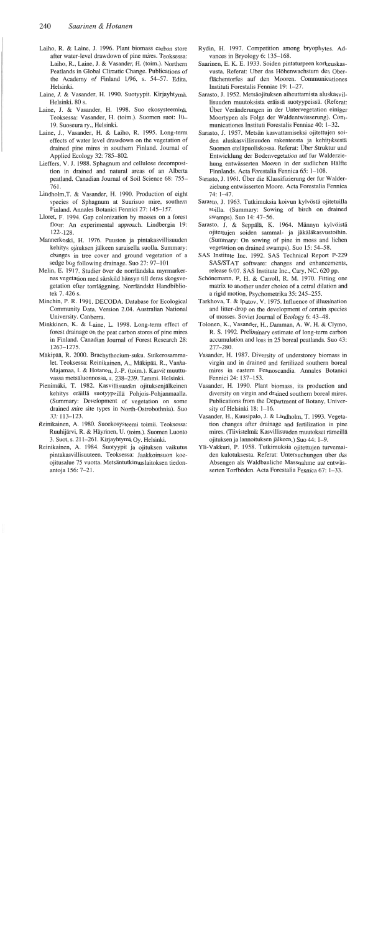- Laiho, R. & Laine, J. 1996. Plant biomass carbon store after water-level drawdown of pine mires. Teoksessa: Laiho, R., Laine, J. & Vasander, H. (toim.). Northern Peatlands in Global Climatic Change. Publications of the Academy of Finland 1/96, s. 54–57. Edita, Helsinki.
- Laine, J. & Vasander, H. 1990. Suotyypit. Kirjayhtymä. Helsinki, 80 s.
- Laine, J. & Vasander, H. 1998. Suo ekosysteeminä. Teoksessa: Vasander, H. (toim.). Suomen suot: 10-19. Suoseura ry., Helsinki.
- Laine, J., Vasander, H. & Laiho, R. 1995. Long-term effects of water level drawdown on the vegetation of drained pine mires in southern Finland. Journal of Applied Ecology 32: 785-802.
- Lieffers, V. J. 1988. Sphagnum and cellulose decomposition in drained and natural areas of an Alberta peatland. Canadian Journal of Soil Science 68: 755-761.
- Lindholm, T. & Vasander, H. 1990. Production of eight species of Sphagnum at Suurisuo mire, southern Finland. Annales Botanici Fennici 27: 145-157.
- Lloret, F. 1994. Gap colonization by mosses on a forest floor: An experimental approach. Lindbergia 19:  $122 - 128.$
- Mannerkoski, H. 1976. Puuston ja pintakasvillisuuden kehitys ojituksen jälkeen saraisella suolla. Summary: changes in tree cover and ground vegetation of a sedge bog following drainage. Suo 27: 97-101
- Melin, E. 1917. Studier över de norrländska myrmarkernas vegetation med särskild hänsyn till deras skogsvegetation efter torrläggning. Norrländskt Handbibliotek 7, 426 s.
- Minchin, P. R. 1991. DECODA. Database for Ecological Community Data. Version 2.04. Australian National University. Canberra.
- Minkkinen, K. & Laine, L. 1998. Long-term effect of forest drainage on the peat carbon stores of pine mires in Finland. Canadian Journal of Forest Research 28: 1267-1275.
- Mäkipää, R. 2000. Brachythecium-suku. Suikerosammalet. Teoksessa: Reinikainen, A., Mäkipää, R., Vanha-Majamaa, I. & Hotanen, J.-P. (toim.). Kasvit muuttuvassa metsäluonnossa, s. 238–239. Tammi. Helsinki.
- Pienimäki, T. 1982. Kasvillisuuden ojituksenjälkeinen kehitys eräillä suotyypeillä Pohjois-Pohjanmaalla. (Summary: Development of vegetation on some drained mire site types in North-Ostrobothnia). Suo  $33:113 - 123.$
- Reinikainen, A. 1980. Suoekosysteemi toimii. Teoksessa: Ruuhijärvi, R. & Häyrinen, U. (toim.). Suomen Luonto 3. Suot, s. 211–261. Kirjayhtymä Oy. Helsinki.
- Reinikainen, A. 1984. Suotyypit ja ojituksen vaikutus pintakasvillisuuteen. Teoksessa: Jaakkoinsuon koeojitusalue 75 vuotta. Metsäntutkimuslaitoksen tiedonantoja 156: 7-21.
- Rydin, H. 1997. Competition among bryophytes. Advances in Bryology 6: 135-168.
- Saarinen, E. K. E. 1933. Soiden pintaturpeen korkeuskasvusta. Referat: Uber das Höhenwachstum des Oberflächentorfes auf den Mooren. Communicationes Instituti Forestalis Fenniae 19: 1-27.
- Sarasto, J. 1952. Metsäojituksen aiheuttamista aluskasvillisuuden muutoksista eräissä suotyypeissä. (Referat: Über Veränderungen in der Untervegetation einiger Moortypen als Folge der Waldentwässerung). Communicationes Instituti Forestalis Fenniae 40: 1-32.
- Sarasto, J. 1957. Metsän kasvattamiseksi ojitettujen soiden aluskasvillisuuden rakenteesta ja kehityksestä Suomen eteläpuoliskossa. Referat: Über Struktur und Entwicklung der Bodenvegetation auf fur Walderziehung entwässerten Mooren in der sudlichen Hälfte Finnlands. Acta Forestalia Fennica 65: 1-108.
- Sarasto, J. 1961. Über die Klassifizierung der fur Walderziehung entwässerten Moore. Acta Forestalia Fennica  $74:1 - 47.$
- Sarasto, J. 1963. Tutkimuksia koivun kylvöstä ojitetuilla soilla. (Summary: Sowing of birch on drained swamps). Suo 14: 47-56.
- Sarasto, J. & Seppälä, K. 1964. Männyn kylvöistä ojitettujen soiden sammal- ja jäkäläkasvustoihin. (Summary: On sowing of pine in moss and lichen vegetation on drained swamps). Suo 15: 54–58.
- SAS Institute Inc. 1992. SAS Technical Report P-229 SAS/STAT software: changes and enhancements, release 6.07. SAS Institute Inc., Cary, NC, 620 pp.
- Schönemann, P. H. & Carroll, R. M. 1970. Fitting one matrix to another under choice of a cetral dilation and a rigid motion. Psychometrika 35: 245–255.
- Tarkhova, T. & Ipatov, V. 1975. Influence of illumination and litter-drop on the development of certain species of mosses. Soviet Journal of Ecology 6: 43-48.
- Tolonen, K., Vasander, H., Damman, A. W. H. & Clymo, R. S. 1992. Preliminary estimate of long-term carbon accumulation and loss in 25 boreal peatlands. Suo 43: 277-280.
- Vasander, H. 1987. Diversity of understorey biomass in virgin and in drained and fertilized southern boreal mires in eastern Fennoscandia. Annales Botanici Fennici 24: 137-153.
- Vasander, H. 1990. Plant biomass, its production and diversity on virgin and drained southern boreal mires. Publications from the Department of Botany, University of Helsinki 18: 1-16.
- Vasander, H., Kuusipalo, J. & Lindholm, T. 1993. Vegetation changes after drainage and fertilization in pine mires. (Tiivistelmä: Kasvillisuuden muutokset rämeillä ojituksen ja lannoituksen jälkeen.) Suo 44: 1-9.
- Yli-Vakkuri, P. 1958. Tutkimuksia ojitettujen turvemaiden kulotuksesta. Referat: Untersuchungen über das Absengen als Waldbauliche Massnahme aut entwässerten Torfböden. Acta Forestalia Fennica 67: 1-33.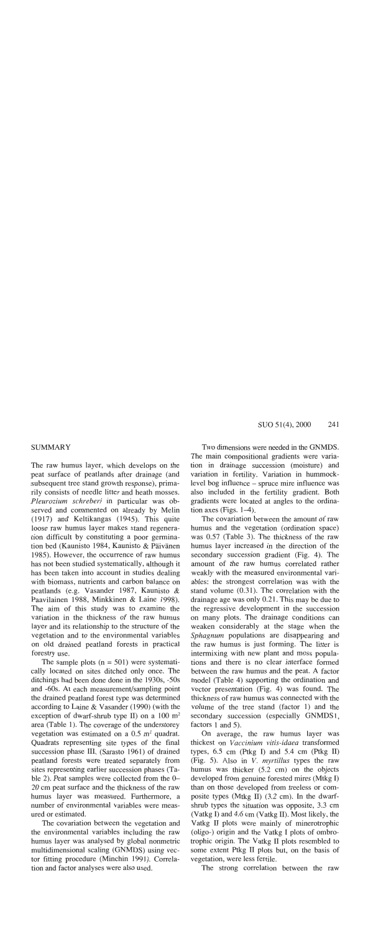# **SUMMARY**

The raw humus layer, which develops on the peat surface of peatlands after drainage (and subsequent tree stand growth response), primarily consists of needle litter and heath mosses. Pleurozium schreberi in particular was observed and commented on already by Melin (1917) and Keltikangas (1945). This quite loose raw humus layer makes stand regeneration difficult by constituting a poor germination bed (Kaunisto 1984, Kaunisto & Päivänen 1985). However, the occurrence of raw humus has not been studied systematically, although it has been taken into account in studies dealing with biomass, nutrients and carbon balance on peatlands (e.g. Vasander 1987, Kaunisto & Paavilainen 1988, Minkkinen & Laine 1998). The aim of this study was to examine the variation in the thickness of the raw humus layer and its relationship to the structure of the vegetation and to the environmental variables on old drained peatland forests in practical forestry use.

The sample plots  $(n = 501)$  were systematically located on sites ditched only once. The ditchings had been done done in the 1930s, -50s and -60s. At each measurement/sampling point the drained peatland forest type was determined according to Laine & Vasander (1990) (with the exception of dwarf-shrub type II) on a  $100 \text{ m}^2$ area (Table 1). The coverage of the understorey vegetation was estimated on a  $0.5$  m<sup>2</sup> quadrat. Quadrats representing site types of the final succession phase III, (Sarasto 1961) of drained peatland forests were treated separately from sites representing earlier succession phases (Table 2). Peat samples were collected from the 0– 20 cm peat surface and the thickness of the raw humus layer was measured. Furthermore, a number of environmental variables were measured or estimated.

The covariation between the vegetation and the environmental variables including the raw humus layer was analysed by global nonmetric multidimensional scaling (GNMDS) using vector fitting procedure (Minchin 1991). Correlation and factor analyses were also used.

Two dimensions were needed in the GNMDS. The main compositional gradients were variation in drainage succession (moisture) and variation in fertility. Variation in hummocklevel bog influence – spruce mire influence was also included in the fertility gradient. Both gradients were located at angles to the ordination axes (Figs.  $1-4$ ).

The covariation between the amount of raw humus and the vegetation (ordination space) was 0.57 (Table 3). The thickness of the raw humus layer increased in the direction of the secondary succession gradient (Fig. 4). The amount of the raw humus correlated rather weakly with the measured environmental variables: the strongest correlation was with the stand volume  $(0.31)$ . The correlation with the drainage age was only 0.21. This may be due to the regressive development in the succession on many plots. The drainage conditions can weaken considerably at the stage when the Sphagnum populations are disappearing and the raw humus is just forming. The litter is intermixing with new plant and moss populations and there is no clear interface formed between the raw humus and the peat. A factor model (Table 4) supporting the ordination and vector presentation (Fig. 4) was found. The thickness of raw humus was connected with the volume of the tree stand (factor 1) and the secondary succession (especially GNMDS1, factors 1 and 5).

On average, the raw humus layer was thickest on Vaccinium vitis-idaea transformed types,  $6.5$  cm (Ptkg I) and  $5.4$  cm (Ptkg II) (Fig. 5). Also in *V. myrtillus* types the raw humus was thicker (5.2 cm) on the objects developed from genuine forested mires (Mtkg I) than on those developed from treeless or composite types (Mtkg II) (3.2 cm). In the dwarfshrub types the situation was opposite, 3.3 cm (Vatkg I) and 4.6 cm (Vatkg II). Most likely, the Vatkg II plots were mainly of minerotrophic (oligo-) origin and the Vatkg I plots of ombrotrophic origin. The Vatkg II plots resembled to some extent Ptkg II plots but, on the basis of vegetation, were less fertile.

The strong correlation between the raw